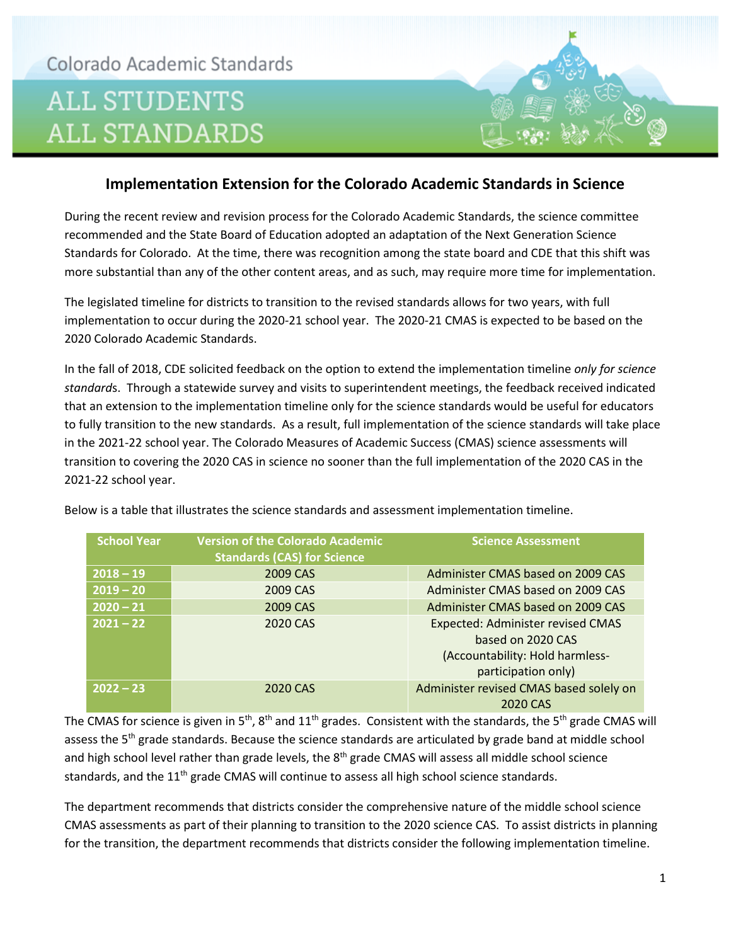

## **Implementation Extension for the Colorado Academic Standards in Science**

During the recent review and revision process for the Colorado Academic Standards, the science committee recommended and the State Board of Education adopted an adaptation of the Next Generation Science Standards for Colorado. At the time, there was recognition among the state board and CDE that this shift was more substantial than any of the other content areas, and as such, may require more time for implementation.

The legislated timeline for districts to transition to the revised standards allows for two years, with full implementation to occur during the 2020-21 school year. The 2020-21 CMAS is expected to be based on the 2020 Colorado Academic Standards.

In the fall of 2018, CDE solicited feedback on the option to extend the implementation timeline *only for science standard*s. Through a statewide survey and visits to superintendent meetings, the feedback received indicated that an extension to the implementation timeline only for the science standards would be useful for educators to fully transition to the new standards. As a result, full implementation of the science standards will take place in the 2021-22 school year. The Colorado Measures of Academic Success (CMAS) science assessments will transition to covering the 2020 CAS in science no sooner than the full implementation of the 2020 CAS in the 2021-22 school year.

| <b>School Year</b> | <b>Version of the Colorado Academic</b><br><b>Standards (CAS) for Science</b> | <b>Science Assessment</b>                                                                                               |
|--------------------|-------------------------------------------------------------------------------|-------------------------------------------------------------------------------------------------------------------------|
| $2018 - 19$        | 2009 CAS                                                                      | Administer CMAS based on 2009 CAS                                                                                       |
| $2019 - 20$        | 2009 CAS                                                                      | Administer CMAS based on 2009 CAS                                                                                       |
| $2020 - 21$        | 2009 CAS                                                                      | Administer CMAS based on 2009 CAS                                                                                       |
| $2021 - 22$        | 2020 CAS                                                                      | <b>Expected: Administer revised CMAS</b><br>based on 2020 CAS<br>(Accountability: Hold harmless-<br>participation only) |
| $2022 - 23$        | 2020 CAS                                                                      | Administer revised CMAS based solely on<br>2020 CAS                                                                     |

Below is a table that illustrates the science standards and assessment implementation timeline.

The CMAS for science is given in 5<sup>th</sup>, 8<sup>th</sup> and 11<sup>th</sup> grades. Consistent with the standards, the 5<sup>th</sup> grade CMAS will assess the 5<sup>th</sup> grade standards. Because the science standards are articulated by grade band at middle school and high school level rather than grade levels, the 8<sup>th</sup> grade CMAS will assess all middle school science standards, and the  $11<sup>th</sup>$  grade CMAS will continue to assess all high school science standards.

The department recommends that districts consider the comprehensive nature of the middle school science CMAS assessments as part of their planning to transition to the 2020 science CAS. To assist districts in planning for the transition, the department recommends that districts consider the following implementation timeline.